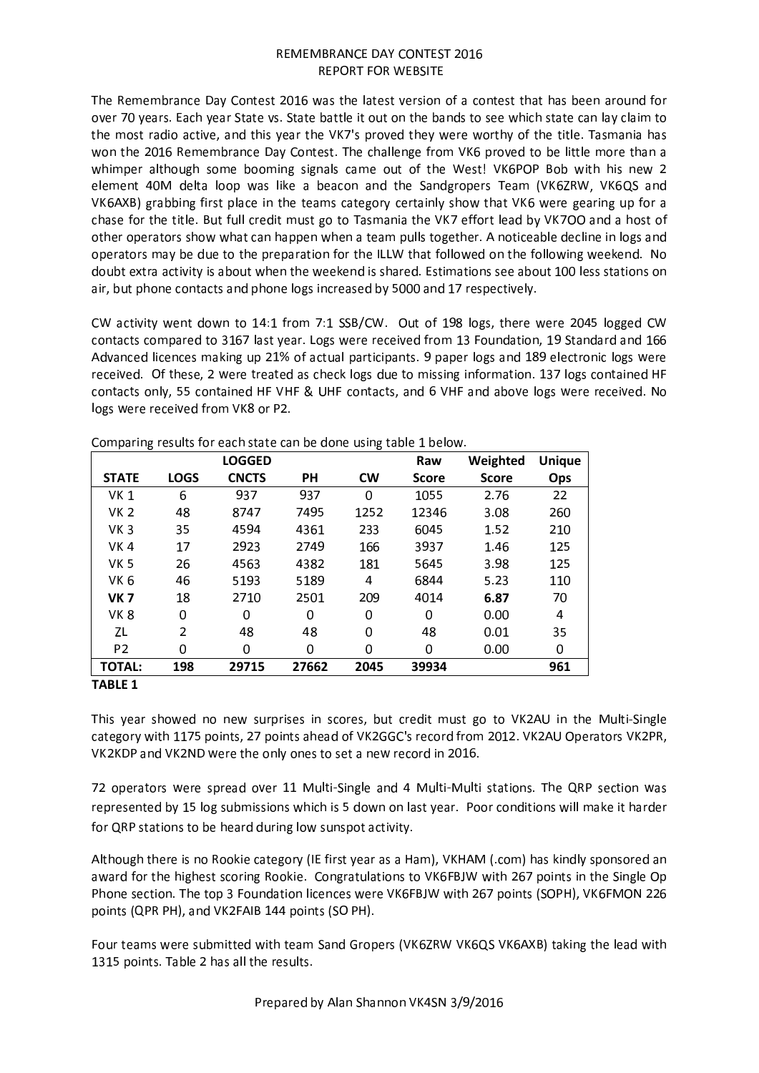The Remembrance Day Contest 2016 was the latest version of a contest that has been around for over 70 years. Each year State vs. State battle it out on the bands to see which state can lay claim to the most radio active, and this year the VK7's proved they were worthy of the title. Tasmania has won the 2016 Remembrance Day Contest. The challenge from VK6 proved to be little more than a whimper although some booming signals came out of the West! VK6POP Bob with his new 2 element 40M delta loop was like a beacon and the Sandgropers Team (VK6ZRW, VK6QS and VK6AXB) grabbing first place in the teams category certainly show that VK6 were gearing up for a chase for the title. But full credit must go to Tasmania the VK7 effort lead by VK700 and a host of other operators show what can happen when a team pulls together. A noticeable decline in logs and operators may be due to the preparation for the ILLW that followed on the following weekend. No doubt extra activity is about when the weekend is shared. Estimations see about 100 less stations on air, but phone contacts and phone logs increased by 5000 and 17 respectively.

CW activity went down to 14:1 from 7:1 SSB/CW. Out of 198 logs, there were 2045 logged CW contacts compared to 3167 last year. Logs were received from 13 Foundation, 19 Standard and 166 Advanced licences making up 21% of actual participants. 9 paper logs and 189 electronic logs were received. Of these, 2 were treated as check logs due to missing information. 137 logs contained HF contacts only, 55 contained HF VHF & UHF contacts, and 6 VHF and above logs were received. No logs were received from VK8 or P2.

|                 |             | LOGGED       |           |           | Raw          | Weighted     | <b>Unique</b> |
|-----------------|-------------|--------------|-----------|-----------|--------------|--------------|---------------|
| <b>STATE</b>    | <b>LOGS</b> | <b>CNCTS</b> | <b>PH</b> | <b>CW</b> | <b>Score</b> | <b>Score</b> | Ops           |
| VK <sub>1</sub> | 6           | 937          | 937       | $\Omega$  | 1055         | 2.76         | 22            |
| VK 2            | 48          | 8747         | 7495      | 1252      | 12346        | 3.08         | 260           |
| VK <sub>3</sub> | 35          | 4594         | 4361      | 233       | 6045         | 1.52         | 210           |
| VK4             | 17          | 2923         | 2749      | 166       | 3937         | 1.46         | 125           |
| VK 5            | 26          | 4563         | 4382      | 181       | 5645         | 3.98         | 125           |
| VK <sub>6</sub> | 46          | 5193         | 5189      | 4         | 6844         | 5.23         | 110           |
| <b>VK7</b>      | 18          | 2710         | 2501      | 209       | 4014         | 6.87         | 70            |
| VK <sub>8</sub> | 0           | 0            | $\Omega$  | $\Omega$  | 0            | 0.00         | 4             |
| ZL              | 2           | 48           | 48        | 0         | 48           | 0.01         | 35            |
| P <sub>2</sub>  | 0           | 0            | 0         | $\Omega$  | 0            | 0.00         | 0             |
| <b>TOTAL:</b>   | 198         | 29715        | 27662     | 2045      | 39934        |              | 961           |

Comparing results for each state can be done using table 1 below.

# **TABLE 1**

This vear showed no new surprises in scores, but credit must go to VK2AU in the Multi-Single category with 1175 points, 27 points ahead of VK2GGC's record from 2012. VK2AU Operators VK2PR, VK2KDP and VK2ND were the only ones to set a new record in 2016.

72 operators were spread over 11 Multi-Single and 4 Multi-Multi stations. The QRP section was represented by 15 log submissions which is 5 down on last year. Poor conditions will make it harder for QRP stations to be heard during low sunspot activity.

Although there is no Rookie category (IE first year as a Ham), VKHAM (.com) has kindly sponsored an award for the highest scoring Rookie. Congratulations to VK6FBJW with 267 points in the Single Op Phone section. The top 3 Foundation licences were VK6FBJW with 267 points (SOPH), VK6FMON 226 points (QPR PH), and VK2FAIB 144 points (SO PH).

Four teams were submitted with team Sand Gropers (VK6ZRW VK6QS VK6AXB) taking the lead with 1315 points. Table 2 has all the results.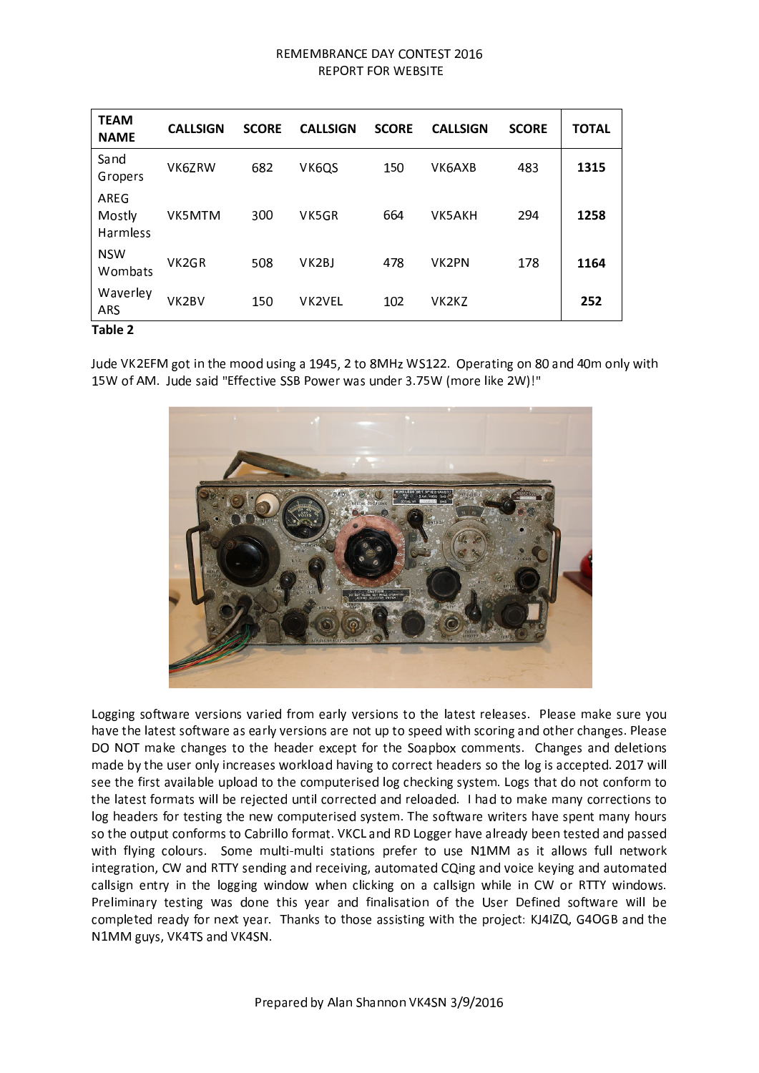| <b>TEAM</b><br><b>NAME</b> | <b>CALLSIGN</b>    | <b>SCORE</b> | <b>CALLSIGN</b> | <b>SCORE</b> | <b>CALLSIGN</b>                | <b>SCORE</b> | <b>TOTAL</b> |
|----------------------------|--------------------|--------------|-----------------|--------------|--------------------------------|--------------|--------------|
| Sand<br>Gropers            | VK6ZRW             | 682          | VK6QS           | 150          | VK6AXB                         | 483          | 1315         |
| AREG<br>Mostly<br>Harmless | VK5MTM             | 300          | VK5GR           | 664          | VK5AKH                         | 294          | 1258         |
| <b>NSW</b><br>Wombats      | VK <sub>2</sub> GR | 508          | VK2BJ           | 478          | VK2PN                          | 178          | 1164         |
| Waverley<br><b>ARS</b>     | VK <sub>2</sub> BV | 150          | <b>VK2VEL</b>   | 102          | VK <sub>2</sub> K <sub>Z</sub> |              | 252          |
| Tahle 2                    |                    |              |                 |              |                                |              |              |

Jude VK2EFM got in the mood using a 1945, 2 to 8MHz WS122. Operating on 80 and 40m only with 15W of AM. Jude said "Effective SSB Power was under 3.75W (more like 2W)!"



Logging software versions varied from early versions to the latest releases. Please make sure you have the latest software as early versions are not up to speed with scoring and other changes. Please DO NOT make changes to the header except for the Soapbox comments. Changes and deletions made by the user only increases workload having to correct headers so the log is accepted. 2017 will see the first available upload to the computerised log checking system. Logs that do not conform to the latest formats will be rejected until corrected and reloaded. I had to make many corrections to log headers for testing the new computerised system. The software writers have spent many hours so the output conforms to Cabrillo format. VKCL and RD Logger have already been tested and passed with flying colours. Some multi-multi stations prefer to use N1MM as it allows full network integration, CW and RTTY sending and receiving, automated CQing and voice keying and automated callsign entry in the logging window when clicking on a callsign while in CW or RTTY windows. Preliminary testing was done this year and finalisation of the User Defined software will be completed ready for next year. Thanks to those assisting with the project: KJ4IZQ, G4OGB and the N1MM guys, VK4TS and VK4SN.

Prepared by Alan Shannon VK4SN 3/9/2016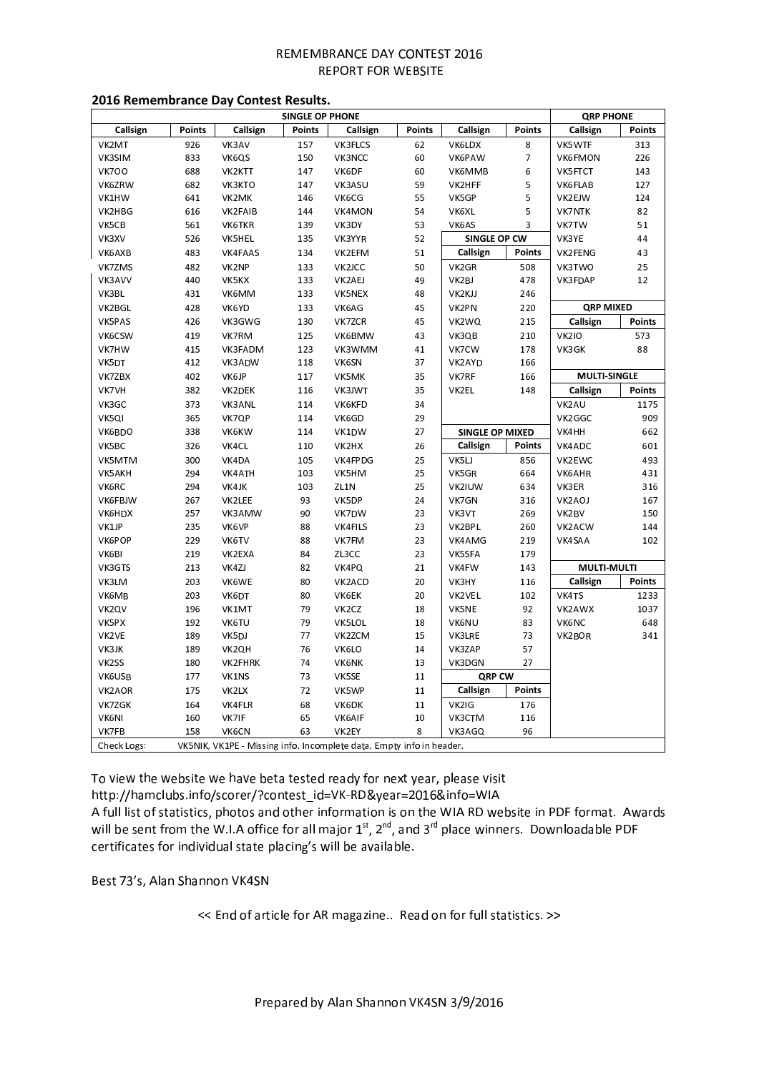| <b>SINGLE OP PHONE</b> |        |                    |               |                |               | <b>QRP PHONE</b>       |               |                     |               |
|------------------------|--------|--------------------|---------------|----------------|---------------|------------------------|---------------|---------------------|---------------|
| Callsign               | Points | Callsign           | <b>Points</b> | Callsign       | <b>Points</b> | Callsign               | <b>Points</b> | Callsign            | <b>Points</b> |
| VK2MT                  | 926    | VK3AV              | 157           | VK3FLCS        | 62            | VK6LDX                 | 8             | VK5WTF              | 313           |
| VK3SIM                 | 833    | VK6QS              | 150           | VK3NCC         | 60            | VK6PAW                 | 7             | <b>VK6FMON</b>      | 226           |
| <b>VK700</b>           | 688    | VK2KTT             | 147           | VK6DF          | 60            | VK6MMB                 | 6             | <b>VK5FTCT</b>      | 143           |
| VK6ZRW                 | 682    | VK3KTO             | 147           | VK3ASU         | 59            | VK2HFF                 | 5             | VK6FLAB             | 127           |
| VK1HW                  | 641    | VK2MK              | 146           | VK6CG          | 55            | VK5GP                  | 5             | VK2EJW              | 124           |
| VK2HBG                 | 616    | VK2FAIB            | 144           | VK4MON         | 54            | VK6XL                  | 5             | <b>VK7NTK</b>       | 82            |
| VK5CB                  | 561    | VK6TKR             | 139           | VK3DY          | 53            | VK6AS                  | 3             | VK7TW               | 51            |
| VK3XV                  | 526    | VK5HEL             | 135           | VK3YYR         | 52            | SINGLE OP CW           |               | VK3YE               | 44            |
| VK6AXB                 | 483    | VK4FAAS            | 134           | VK2EFM         | 51            | Callsign               | <b>Points</b> | VK2FENG             | 43            |
| VK7ZMS                 | 482    | VK2NP              | 133           | VK2JCC         | 50            | VK2GR                  | 508           | VK3TWO              | 25            |
| VK3AVV                 | 440    | VK5KX              | 133           | VK2AEJ         | 49            | VK2BJ                  | 478           | VK3FDAP             | 12            |
| VK3BL                  | 431    | VK6MM              | 133           | VK5NEX         | 48            | VK2KJJ                 | 246           |                     |               |
| VK2BGL                 | 428    | VK6YD              | 133           | VK6AG          | 45            | VK2PN                  | 220           | <b>QRP MIXED</b>    |               |
| VK5PAS                 | 426    | VK3GWG             | 130           | VK7ZCR         | 45            | VK2WQ                  | 215           | Callsign            | <b>Points</b> |
| VK6CSW                 | 419    | VK7RM              | 125           | VK6BMW         | 43            | VK3QB                  | 210           | <b>VK210</b>        | 573           |
| VK7HW                  | 415    | VK3FADM            | 123           | VK3WMM         | 41            | VK7CW                  | 178           | VK3GK               | 88            |
| VK5DT                  | 412    | VK3ADW             | 118           | VK6SN          | 37            | VK2AYD                 | 166           |                     |               |
| VK7ZBX                 | 402    | VK6JP              | 117           | VK5MK          | 35            | VK7RF                  | 166           | <b>MULTI-SINGLE</b> |               |
| VK7VH                  | 382    | VK2DEK             | 116           | VK3JWT         | 35            | VK2EL                  | 148           | Callsign            | Points        |
| VK3GC                  | 373    | VK3ANL             | 114           | <b>VK6KFD</b>  | 34            |                        |               | VK2AU               | 1175          |
| VK5QI                  | 365    | VK7QP              | 114           | VK6GD          | 29            |                        |               | VK2GGC              | 909           |
| VK6BDO                 | 338    | VK6KW              | 114           | VK1DW          | 27            | <b>SINGLE OP MIXED</b> |               | VK4HH               | 662           |
|                        |        |                    |               |                |               |                        | <b>Points</b> |                     |               |
| VK5BC                  | 326    | VK4CL              | 110           | VK2HX          | 26            | Callsign               |               | VK4ADC              | 601           |
| VK5MTM                 | 300    | VK4DA              | 105           | VK4FPDG        | 25            | VK5LJ                  | 856           | VK2EWC              | 493           |
| VK5AKH                 | 294    | VK4ATH             | 103           | VK5HM          | 25            | VK5GR                  | 664           | VK6AHR              | 431           |
| VK6RC                  | 294    | VK4JK              | 103           | ZL1N           | 25            | VK2IUW                 | 634           | VK3ER               | 316           |
| VK6FBJW                | 267    | VK2LEE             | 93            | VK5DP          | 24            | VK7GN                  | 316           | VK2AOJ              | 167           |
| VK6HDX                 | 257    | VK3AMW             | 90            | VK7DW          | 23            | VK3VT                  | 269           | VK2BV               | 150           |
| VK1JP                  | 235    | VK6VP              | 88            | <b>VK4FILS</b> | 23            | VK2BPL                 | 260           | VK2ACW              | 144           |
| VK6POP                 | 229    | VK6TV              | 88            | VK7FM          | 23            | VK4AMG                 | 219           | VK4SAA              | 102           |
| VK6BI                  | 219    | VK2EXA             | 84            | ZL3CC          | 23            | VK5SFA                 | 179           |                     |               |
| VK3GTS                 | 213    | VK4ZJ              | 82            | VK4PQ          | 21            | VK4FW                  | 143           | <b>MULTI-MULTI</b>  |               |
| VK3LM                  | 203    | VK6WE              | 80            | VK2ACD         | 20            | VK3HY                  | 116           | Callsign            | <b>Points</b> |
| VK6MB                  | 203    | VK6DT              | 80            | <b>VK6EK</b>   | 20            | VK2VEL                 | 102           | VK4TS               | 1233          |
| VK2QV                  | 196    | VK1MT              | 79            | VK2CZ          | 18            | VK5NE                  | 92            | VK2AWX              | 1037          |
| VK5PX                  | 192    | VK6TU              | 79            | VK5LOL         | 18            | VK6NU                  | 83            | VK6NC               | 648           |
| VK2VE                  | 189    | VK5DJ              | 77            | VK2ZCM         | 15            | VK3LRE                 | 73            | VK2BOR              | 341           |
| VK3JK                  | 189    | VK <sub>2Q</sub> H | 76            | VK6LO          | 14            | VK3ZAP                 | 57            |                     |               |
| VK2SS                  | 180    | VK2FHRK            | 74            | VK6NK          | 13            | VK3DGN                 | 27            |                     |               |
| VK6USB                 | 177    | VK1NS              | 73            | VK5SE          | 11            | QRP CW                 |               |                     |               |
|                        | 175    | VK2LX              | 72            | VK5WP          | 11            | Callsign               | <b>Points</b> |                     |               |
|                        |        | VK4FLR             | 68            | VK6DK          | 11            | VK2IG                  | 176           |                     |               |
| VK2AOR<br>VK7ZGK       | 164    |                    |               |                |               |                        |               |                     |               |
| VK6NI                  | 160    | VK7IF              | 65            | VK6AIF         | 10            | VK3CTM                 | 116           |                     |               |

# **2016 Remembrance Day Contest Results.**

To view the website we have beta tested ready for next year, please visit

http://hamclubs.info/scorer/?contest\_id=VK-RD&vear=2016&info=WIA

A full list of statistics, photos and other information is on the WIA RD website in PDF format. Awards will be sent from the W.I.A office for all maior  $1^{\rm st}$ .  $2^{\rm nd}$  and  $3^{\rm rd}$  place winners. Downloadable PDF certificates for individual state placing's will be available.

Best 73's. Alan Shannon VK4SN

<< End of article for AR magazine.. Read on for full statistics. >>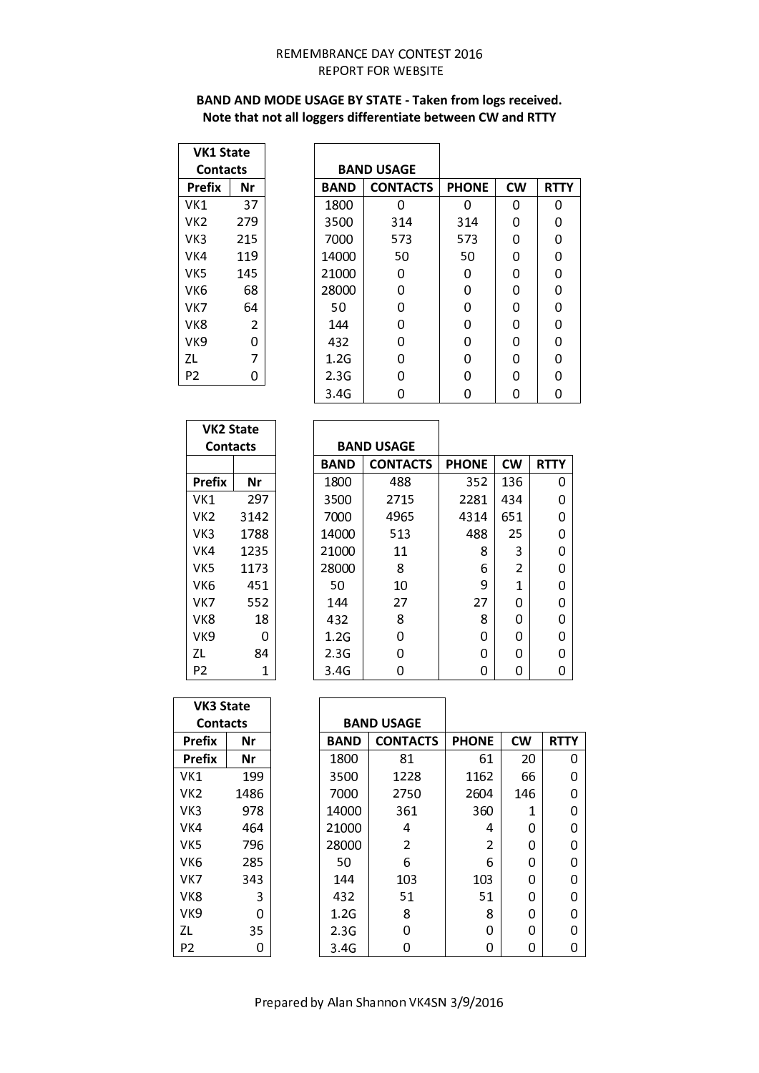# BAND AND MODE USAGE BY STATE - Taken from logs received. Note that not all loggers differentiate between CW and RTTY

| VK1 State |     |  |  |  |
|-----------|-----|--|--|--|
| Contacts  |     |  |  |  |
| Prefix    | Nr  |  |  |  |
| VK1       | 37  |  |  |  |
| VK2       | 279 |  |  |  |
| VK3       | 215 |  |  |  |
| VK4       | 119 |  |  |  |
| vk5       | 145 |  |  |  |
| VK6       | 68  |  |  |  |
| vĸ7       | 64  |  |  |  |
| VK8       | 2   |  |  |  |
| VK9       | 0   |  |  |  |
| ΖL        | 7   |  |  |  |
| P2        | 0   |  |  |  |

|             | <b>BAND USAGE</b> |              |           |             |
|-------------|-------------------|--------------|-----------|-------------|
| <b>BAND</b> | <b>CONTACTS</b>   | <b>PHONE</b> | <b>CW</b> | <b>RTTY</b> |
| 1800        | 0                 | O            | 0         | 0           |
| 3500        | 314               | 314          | 0         | 0           |
| 7000        | 573               | 573          | O         | 0           |
| 14000       | 50                | 50           | U         | 0           |
| 21000       | O                 | 0            | 0         | 0           |
| 28000       | 0                 | 0            | 0         | 0           |
| 50          | 0                 | 0            | 0         | 0           |
| 144         | 0                 | 0            | 0         | 0           |
| 432         | 0                 | 0            | 0         | 0           |
| 1.2G        | 0                 | 0            | 0         | 0           |
| 2.3G        | 0                 | 0            | O         | 0           |
| 3.4G        | 0                 |              |           | ი           |

| VK2 State |      |  |  |  |
|-----------|------|--|--|--|
| Contacts  |      |  |  |  |
|           |      |  |  |  |
| Prefix    | Nr   |  |  |  |
| VK1       | 297  |  |  |  |
| VK2       | 3142 |  |  |  |
| VK3       | 1788 |  |  |  |
| VK4       | 1235 |  |  |  |
| vk5       | 1173 |  |  |  |
| VK6       | 451  |  |  |  |
| vĸ7       | 552  |  |  |  |
| VK8       | 18   |  |  |  |
| VK9       | 0    |  |  |  |
| ΖL        | 84   |  |  |  |
| P2        | 1    |  |  |  |

 $\mathsf{r}$ 

|             | <b>BAND USAGE</b> |              |           |             |
|-------------|-------------------|--------------|-----------|-------------|
| <b>BAND</b> | <b>CONTACTS</b>   | <b>PHONE</b> | <b>CW</b> | <b>RTTY</b> |
| 1800        | 488               | 352          | 136       | 0           |
| 3500        | 2715              | 2281         | 434       | O           |
| 7000        | 4965              | 4314         | 651       | O           |
| 14000       | 513               | 488          | 25        | 0           |
| 21000       | 11                | 8            | 3         | O           |
| 28000       | 8                 | 6            | 2         | 0           |
| 50          | 10                | 9            | 1         | O           |
| 144         | 27                | 27           | O         | O           |
| 432         | 8                 | 8            | O         | O           |
| 1.2G        | U                 | 0            | 0         | 0           |
| 2.3G        | n                 | 0            | O         | O           |
| 3.4G        |                   | 0            | ი         | ი           |

 $\overline{\phantom{a}}$ 

| <b>VK3 State</b> |      |             |                   |              |           |             |
|------------------|------|-------------|-------------------|--------------|-----------|-------------|
| <b>Contacts</b>  |      |             | <b>BAND USAGE</b> |              |           |             |
| <b>Prefix</b>    | Nr   | <b>BAND</b> | <b>CONTACTS</b>   | <b>PHONE</b> | <b>CW</b> | <b>RTTY</b> |
| <b>Prefix</b>    | Nr   | 1800        | 81                | 61           | 20        | 0           |
| VK1              | 199  | 3500        | 1228              | 1162         | 66        | 0           |
| VK2              | 1486 | 7000        | 2750              | 2604         | 146       | 0           |
| VK3              | 978  | 14000       | 361               | 360          | 1         | 0           |
| VK4              | 464  | 21000       | 4                 | 4            | 0         | 0           |
| VK <sub>5</sub>  | 796  | 28000       | $\overline{2}$    | 2            | 0         | 0           |
| VK6              | 285  | 50          | 6                 | 6            | 0         | 0           |
| VK7              | 343  | 144         | 103               | 103          | 0         | 0           |
| VK8              | 3    | 432         | 51                | 51           | 0         | 0           |
| VK9              | U    | 1.2G        | 8                 | 8            | 0         | 0           |
| ZL               | 35   | 2.3G        | 0                 | 0            | 0         | 0           |
| P <sub>2</sub>   | 0    | 3.4G        | 0                 | 0            | 0         | 0           |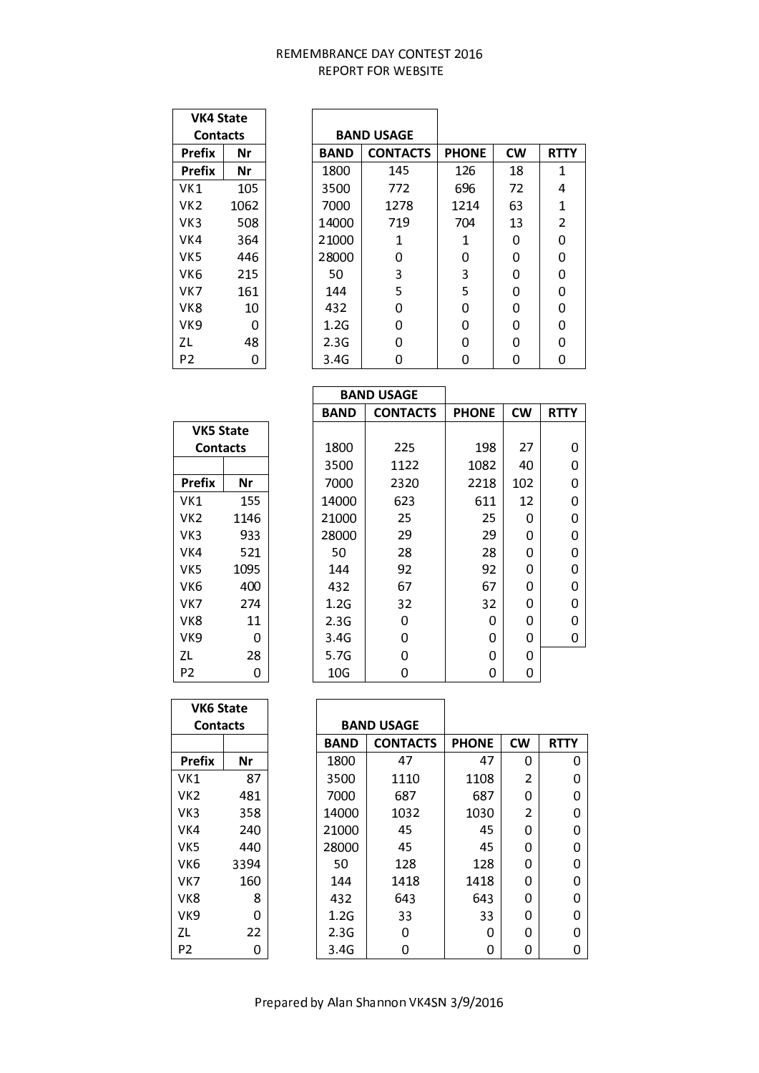| VK4 State    |      |  |  |  |  |
|--------------|------|--|--|--|--|
| Contacts     |      |  |  |  |  |
| Prefix<br>Nr |      |  |  |  |  |
| Prefix       | Nr   |  |  |  |  |
| VK1          | 105  |  |  |  |  |
| VK2          | 1062 |  |  |  |  |
| VK3          | 508  |  |  |  |  |
| VK4          | 364  |  |  |  |  |
| vk5          | 446  |  |  |  |  |
| VK6          | 215  |  |  |  |  |
| VK7          | 161  |  |  |  |  |
| vk8          | 10   |  |  |  |  |
| vk9          | O    |  |  |  |  |
| ΖL           | 48   |  |  |  |  |
| P2           | 0    |  |  |  |  |

|             | <b>BAND USAGE</b> |              |           |             |
|-------------|-------------------|--------------|-----------|-------------|
| <b>BAND</b> | <b>CONTACTS</b>   | <b>PHONE</b> | <b>CW</b> | <b>RTTY</b> |
| 1800        | 145               | 126          | 18        | 1           |
| 3500        | 772               | 696          | 72        | 4           |
| 7000        | 1278              | 1214         | 63        | 1           |
| 14000       | 719               | 704          | 13        | 2           |
| 21000       | 1                 | 1            | 0         | 0           |
| 28000       | U                 | O            | 0         | 0           |
| 50          | 3                 | 3            | 0         | 0           |
| 144         | 5                 | 5            | 0         | 0           |
| 432         | 0                 | 0            | 0         | 0           |
| 1.2G        | 0                 | 0            | 0         | 0           |
| 2.3G        | U                 | 0            | O         | O           |
| 3.4G        | 0                 | 0            | O         | 0           |

| <b>VK5 State</b><br>Contacts |      |  |  |  |  |
|------------------------------|------|--|--|--|--|
|                              |      |  |  |  |  |
| Prefix                       | Nr   |  |  |  |  |
| VK1                          | 155  |  |  |  |  |
| VK2                          | 1146 |  |  |  |  |
| VK3                          | 933  |  |  |  |  |
| VK4                          | 521  |  |  |  |  |
| vk5                          | 1095 |  |  |  |  |
| VK6                          | 400  |  |  |  |  |
| VK7                          | 274  |  |  |  |  |
| VK8                          | 11   |  |  |  |  |
| VK9                          | 0    |  |  |  |  |
| ΖL                           | 28   |  |  |  |  |
| P2                           | C    |  |  |  |  |

|             | <b>BAND USAGE</b> |              |           |             |
|-------------|-------------------|--------------|-----------|-------------|
| <b>BAND</b> | <b>CONTACTS</b>   | <b>PHONE</b> | <b>CW</b> | <b>RTTY</b> |
|             |                   |              |           |             |
| 1800        | 225               | 198          | 27        | 0           |
| 3500        | 1122              | 1082         | 40        | 0           |
| 7000        | 2320              | 2218         | 102       | 0           |
| 14000       | 623               | 611          | 12        | 0           |
| 21000       | 25                | 25           | 0         | 0           |
| 28000       | 29                | 29           | 0         | 0           |
| 50          | 28                | 28           | 0         | 0           |
| 144         | 92                | 92           | 0         | 0           |
| 432         | 67                | 67           | 0         | 0           |
| 1.2G        | 32                | 32           | 0         | 0           |
| 2.3G        | 0                 | 0            | 0         | 0           |
| 3.4G        | 0                 | 0            | 0         | 0           |
| 5.7G        | 0                 | 0            | 0         |             |
| 10G         | ი                 | ი            | O         |             |

| <b>VK6 State</b> |      |             |                   |              |           |             |
|------------------|------|-------------|-------------------|--------------|-----------|-------------|
| <b>Contacts</b>  |      |             | <b>BAND USAGE</b> |              |           |             |
|                  |      | <b>BAND</b> | <b>CONTACTS</b>   | <b>PHONE</b> | <b>CW</b> | <b>RTTY</b> |
| <b>Prefix</b>    | Nr   | 1800        | 47                | 47           | 0         | 0           |
| VK1              | 87   | 3500        | 1110              | 1108         | 2         | 0           |
| VK <sub>2</sub>  | 481  | 7000        | 687               | 687          | 0         | 0           |
| VK3              | 358  | 14000       | 1032              | 1030         | 2         | 0           |
| VK4              | 240  | 21000       | 45                | 45           | 0         | 0           |
| VK5              | 440  | 28000       | 45                | 45           | 0         | 0           |
| VK <sub>6</sub>  | 3394 | 50          | 128               | 128          | 0         | 0           |
| VK7              | 160  | 144         | 1418              | 1418         | 0         | 0           |
| VK8              | 8    | 432         | 643               | 643          | 0         | 0           |
| VK <sub>9</sub>  | 0    | 1.2G        | 33                | 33           | 0         | 0           |
| ΖL               | 22   | 2.3G        | 0                 | 0            | 0         | 0           |
| P <sub>2</sub>   | 0    | 3.4G        | 0                 | 0            | 0         | 0           |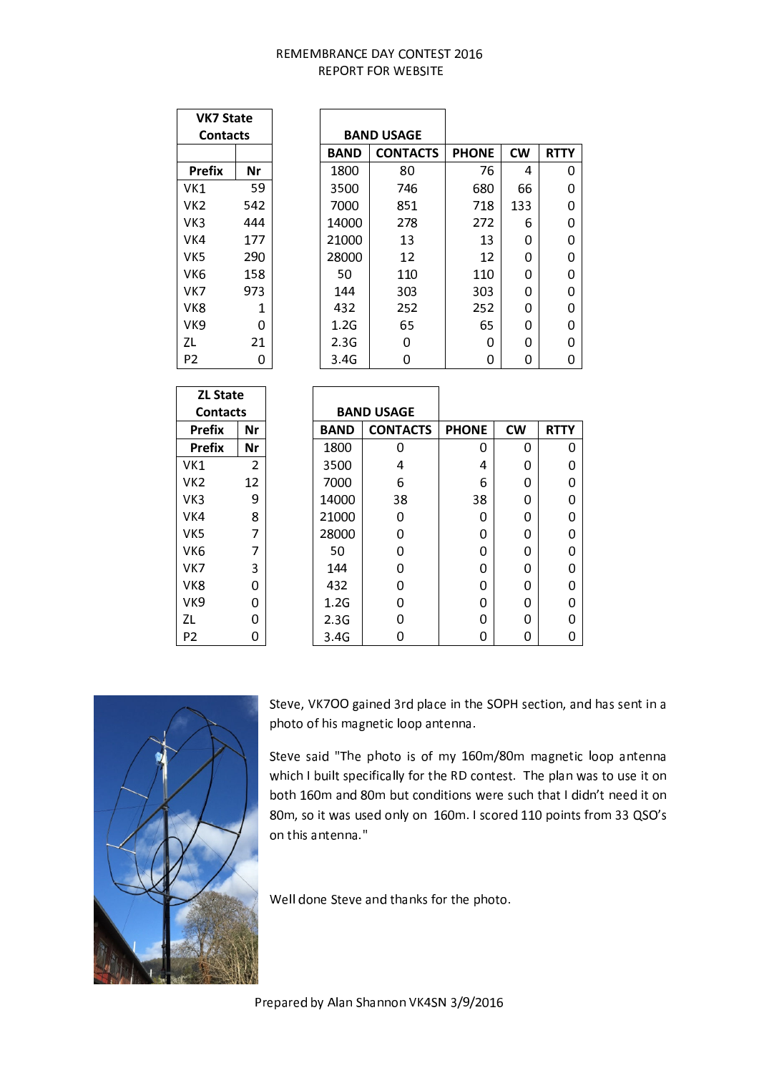| <b>VK7 State</b> |     |             |                   |              |           |  |
|------------------|-----|-------------|-------------------|--------------|-----------|--|
| <b>Contacts</b>  |     |             | <b>BAND USAGE</b> |              |           |  |
|                  |     | <b>BAND</b> | <b>CONTACTS</b>   | <b>PHONE</b> | <b>CW</b> |  |
| <b>Prefix</b>    | Nr  | 1800        | 80                | 76           | 4         |  |
| VK1              | 59  | 3500        | 746               | 680          | 66        |  |
| VK2              | 542 | 7000        | 851               | 718          | 133       |  |
| VK3              | 444 | 14000       | 278               | 272          | 6         |  |
| VK4              | 177 | 21000       | 13                | 13           | 0         |  |
| VK5              | 290 | 28000       | 12                | 12           | 0         |  |
| VK6              | 158 | 50          | 110               | 110          | 0         |  |
| VK7              | 973 | 144         | 303               | 303          | 0         |  |
| VK8              | 1   | 432         | 252               | 252          | 0         |  |
| VK9              | 0   | 1.2G        | 65                | 65           | 0         |  |
| ΖL               | 21  | 2.3G        | 0                 | 0            | 0         |  |
| P <sub>2</sub>   | 0   | 3.4G        | 0                 | 0            | 0         |  |

| <b>ZL State</b> |                |             |                   |              |           |             |
|-----------------|----------------|-------------|-------------------|--------------|-----------|-------------|
| <b>Contacts</b> |                |             | <b>BAND USAGE</b> |              |           |             |
| <b>Prefix</b>   | Nr             | <b>BAND</b> | <b>CONTACTS</b>   | <b>PHONE</b> | <b>CW</b> | <b>RTTY</b> |
| <b>Prefix</b>   | Nr             | 1800        | 0                 | 0            | 0         | 0           |
| VK <sub>1</sub> | $\overline{2}$ | 3500        | 4                 | 4            | 0         | 0           |
| VK <sub>2</sub> | 12             | 7000        | 6                 | 6            | 0         | 0           |
| VK <sub>3</sub> | 9              | 14000       | 38                | 38           | 0         | 0           |
| VK4             | 8              | 21000       | 0                 | 0            | 0         | 0           |
| VK <sub>5</sub> | 7              | 28000       | 0                 | 0            | 0         | 0           |
| VK <sub>6</sub> | 7              | 50          | 0                 | 0            | 0         | 0           |
| VK7             | 3              | 144         | 0                 | 0            | 0         | 0           |
| VK8             | O              | 432         | 0                 | 0            | 0         | 0           |
| VK9             | 0              | 1.2G        | 0                 | 0            | 0         | 0           |
| ZL              | U              | 2.3G        | 0                 | 0            | 0         | 0           |
| P <sub>2</sub>  | 0              | 3.4G        | 0                 | 0            | 0         | 0           |



Steve, VK7OO gained 3rd place in the SOPH section, and has sent in a photo of his magnetic loop antenna.

Steve said "The photo is of my 160m/80m magnetic loop antenna which I built specifically for the RD contest. The plan was to use it on both 160m and 80m but conditions were such that I didn't need it on 80m, so it was used only on 160m. I scored 110 points from 33 QSO's on this antenna."

Well done Steve and thanks for the photo.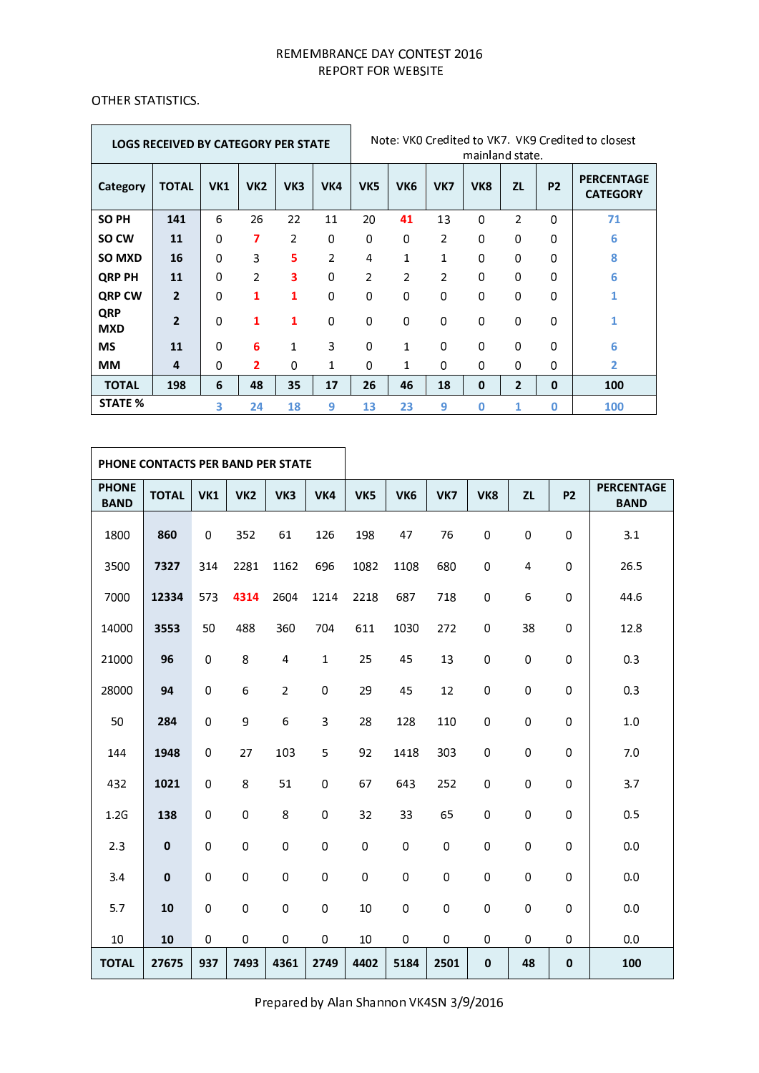$\overline{\phantom{0}}$ 

## $\alpha$  then  $\alpha$  the strip the set of  $\alpha$

 $\mathcal{L}$ 

|                          | <b>LOGS RECEIVED BY CATEGORY PER STATE</b> |            |                          |              |                |                 |                 |                | mainland state. |                |                | Note: VKO Credited to VK7. VK9 Credited to closest |
|--------------------------|--------------------------------------------|------------|--------------------------|--------------|----------------|-----------------|-----------------|----------------|-----------------|----------------|----------------|----------------------------------------------------|
| Category                 | <b>TOTAL</b>                               | <b>VK1</b> | VK <sub>2</sub>          | VK3          | VK4            | VK <sub>5</sub> | VK <sub>6</sub> | VK7            | VK <sub>8</sub> | ZL             | P <sub>2</sub> | <b>PERCENTAGE</b><br><b>CATEGORY</b>               |
| <b>SO PH</b>             | 141                                        | 6          | 26                       | 22           | 11             | 20              | 41              | 13             | 0               | $\overline{2}$ | 0              | 71                                                 |
| SO CW                    | 11                                         | 0          | 7                        | 2            | 0              | 0               | 0               | $\overline{2}$ | 0               | 0              | 0              | 6                                                  |
| <b>SO MXD</b>            | 16                                         | 0          | 3                        | 5            | $\overline{2}$ | 4               | $\mathbf{1}$    | 1              | 0               | $\Omega$       | 0              | 8                                                  |
| <b>QRP PH</b>            | 11                                         | 0          | $\overline{\phantom{a}}$ | 3            | $\Omega$       | 2               | $\overline{2}$  | $\overline{2}$ | 0               | 0              | 0              | 6                                                  |
| <b>QRP CW</b>            | $\overline{2}$                             | 0          | 1                        | 1            | 0              | 0               | $\mathbf 0$     | 0              | 0               | $\mathbf 0$    | 0              |                                                    |
| <b>QRP</b><br><b>MXD</b> | $\overline{2}$                             | $\Omega$   | 1                        | 1            | $\mathbf 0$    | 0               | 0               | $\Omega$       | 0               | $\Omega$       | $\Omega$       |                                                    |
| <b>MS</b>                | 11                                         | 0          | 6                        | $\mathbf{1}$ | 3              | $\Omega$        | $\mathbf{1}$    | $\Omega$       | 0               | $\Omega$       | $\Omega$       | 6                                                  |
| <b>MM</b>                | 4                                          | 0          | $\overline{2}$           | 0            | 1              | 0               | 1               | 0              | 0               | 0              | 0              | 2                                                  |
| <b>TOTAL</b>             | 198                                        | 6          | 48                       | 35           | 17             | 26              | 46              | 18             | 0               | $\overline{2}$ | $\mathbf 0$    | 100                                                |
| <b>STATE %</b>           |                                            | 3          | 24                       | 18           | 9              | 13              | 23              | 9              | 0               | 1              | 0              | 100                                                |

|                             | PHONE CONTACTS PER BAND PER STATE |             |                 |                |              |      |                 |      |             |           |             |                                  |
|-----------------------------|-----------------------------------|-------------|-----------------|----------------|--------------|------|-----------------|------|-------------|-----------|-------------|----------------------------------|
| <b>PHONE</b><br><b>BAND</b> | <b>TOTAL</b>                      | VK1         | VK <sub>2</sub> | VK3            | VK4          | VK5  | VK <sub>6</sub> | VK7  | VK8         | <b>ZL</b> | <b>P2</b>   | <b>PERCENTAGE</b><br><b>BAND</b> |
| 1800                        | 860                               | $\mathbf 0$ | 352             | 61             | 126          | 198  | 47              | 76   | $\mathbf 0$ | 0         | 0           | 3.1                              |
| 3500                        | 7327                              | 314         | 2281            | 1162           | 696          | 1082 | 1108            | 680  | $\,0\,$     | 4         | 0           | 26.5                             |
| 7000                        | 12334                             | 573         | 4314            | 2604           | 1214         | 2218 | 687             | 718  | $\mathbf 0$ | 6         | 0           | 44.6                             |
| 14000                       | 3553                              | 50          | 488             | 360            | 704          | 611  | 1030            | 272  | 0           | 38        | 0           | 12.8                             |
| 21000                       | 96                                | $\mathbf 0$ | 8               | 4              | $\mathbf{1}$ | 25   | 45              | 13   | 0           | 0         | 0           | 0.3                              |
| 28000                       | 94                                | $\mathbf 0$ | 6               | $\overline{2}$ | $\pmb{0}$    | 29   | 45              | 12   | $\mathbf 0$ | 0         | $\Omega$    | 0.3                              |
| 50                          | 284                               | $\mathbf 0$ | 9               | 6              | 3            | 28   | 128             | 110  | 0           | 0         | 0           | 1.0                              |
| 144                         | 1948                              | $\mathbf 0$ | 27              | 103            | 5            | 92   | 1418            | 303  | $\mathbf 0$ | 0         | 0           | 7.0                              |
| 432                         | 1021                              | $\pmb{0}$   | 8               | 51             | $\pmb{0}$    | 67   | 643             | 252  | 0           | 0         | 0           | 3.7                              |
| 1.2G                        | 138                               | $\mathbf 0$ | $\mathbf 0$     | 8              | $\mathbf 0$  | 32   | 33              | 65   | $\mathbf 0$ | 0         | 0           | 0.5                              |
| 2.3                         | $\mathbf 0$                       | $\mathbf 0$ | 0               | 0              | $\pmb{0}$    | 0    | $\pmb{0}$       | 0    | 0           | 0         | $\Omega$    | 0.0                              |
| 3.4                         | $\mathbf 0$                       | $\mathbf 0$ | 0               | 0              | $\mathbf 0$  | 0    | $\mathbf 0$     | 0    | $\mathbf 0$ | 0         | $\Omega$    | 0.0                              |
| 5.7                         | 10                                | $\mathbf 0$ | 0               | 0              | $\pmb{0}$    | 10   | 0               | 0    | 0           | 0         | 0           | 0.0                              |
| 10                          | 10                                | $\mathbf 0$ | $\,0\,$         | 0              | 0            | 10   | 0               | 0    | 0           | 0         | 0           | 0.0                              |
| <b>TOTAL</b>                | 27675                             | 937         | 7493            | 4361           | 2749         | 4402 | 5184            | 2501 | $\mathbf 0$ | 48        | $\mathbf 0$ | 100                              |

Prepared by Alan Shannon VK4SN 3/9/2016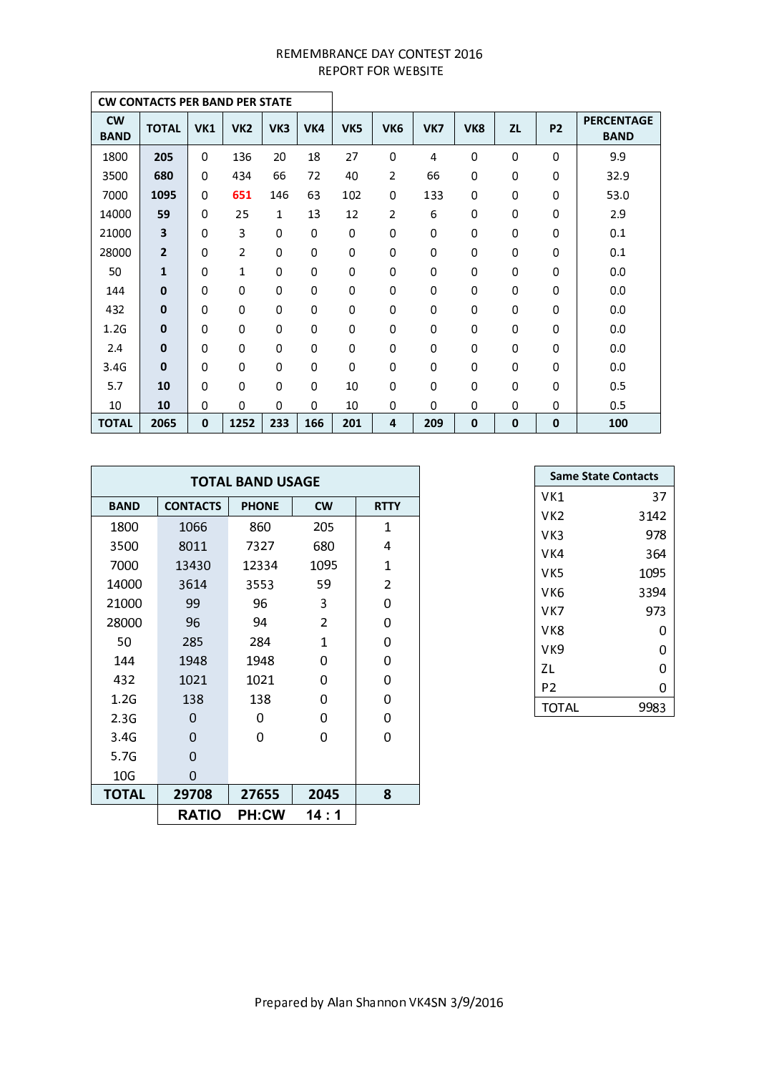|                          | <b>CW CONTACTS PER BAND PER STATE</b> |              |                 |     |             |                 |                 |     |                 |             |           |                                  |
|--------------------------|---------------------------------------|--------------|-----------------|-----|-------------|-----------------|-----------------|-----|-----------------|-------------|-----------|----------------------------------|
| <b>CW</b><br><b>BAND</b> | <b>TOTAL</b>                          | <b>VK1</b>   | VK <sub>2</sub> | VK3 | VK4         | VK <sub>5</sub> | VK <sub>6</sub> | VK7 | VK <sub>8</sub> | <b>ZL</b>   | <b>P2</b> | <b>PERCENTAGE</b><br><b>BAND</b> |
| 1800                     | 205                                   | 0            | 136             | 20  | 18          | 27              | 0               | 4   | $\mathbf 0$     | 0           | 0         | 9.9                              |
| 3500                     | 680                                   | 0            | 434             | 66  | 72          | 40              | 2               | 66  | $\mathbf 0$     | 0           | 0         | 32.9                             |
| 7000                     | 1095                                  | 0            | 651             | 146 | 63          | 102             | 0               | 133 | 0               | 0           | 0         | 53.0                             |
| 14000                    | 59                                    | 0            | 25              | 1   | 13          | 12              | 2               | 6   | 0               | 0           | 0         | 2.9                              |
| 21000                    | 3                                     | 0            | 3               | 0   | $\Omega$    | $\mathbf 0$     | 0               | 0   | 0               | 0           | 0         | 0.1                              |
| 28000                    | $\overline{2}$                        | 0            | 2               | 0   | $\mathbf 0$ | $\mathbf 0$     | 0               | 0   | 0               | 0           | 0         | 0.1                              |
| 50                       | $\mathbf{1}$                          | 0            | 1               | 0   | 0           | 0               | 0               | 0   | 0               | 0           | 0         | 0.0                              |
| 144                      | $\mathbf 0$                           | 0            | 0               | 0   | 0           | $\mathbf 0$     | 0               | 0   | 0               | 0           | 0         | 0.0                              |
| 432                      | $\mathbf 0$                           | 0            | 0               | 0   | $\mathbf 0$ | $\mathbf 0$     | 0               | 0   | 0               | 0           | 0         | 0.0                              |
| 1.2G                     | $\mathbf 0$                           | 0            | 0               | 0   | $\mathbf 0$ | $\mathbf 0$     | 0               | 0   | 0               | 0           | 0         | 0,0                              |
| 2,4                      | $\bf{0}$                              | 0            | 0               | 0   | $\Omega$    | $\mathbf 0$     | 0               | 0   | $\mathbf 0$     | 0           | 0         | 0.0                              |
| 3.4G                     | $\Omega$                              | 0            | 0               | 0   | $\Omega$    | $\mathbf 0$     | 0               | 0   | $\mathbf 0$     | 0           | 0         | 0,0                              |
| 5.7                      | 10                                    | 0            | 0               | 0   | $\Omega$    | 10              | 0               | 0   | $\mathbf 0$     | 0           | 0         | 0.5                              |
| 10                       | 10                                    | 0            | 0               | 0   | $\Omega$    | 10              | 0               | 0   | 0               | 0           | 0         | 0.5                              |
| <b>TOTAL</b>             | 2065                                  | $\mathbf{0}$ | 1252            | 233 | 166         | 201             | 4               | 209 | $\mathbf 0$     | $\mathbf 0$ | 0         | 100                              |

|              |                 | <b>TOTAL BAND USAGE</b> |                |                |
|--------------|-----------------|-------------------------|----------------|----------------|
| <b>BAND</b>  | <b>CONTACTS</b> | <b>PHONE</b>            | <b>CW</b>      | <b>RTTY</b>    |
| 1800         | 1066            | 860                     | 205            | 1              |
| 3500         | 8011            | 7327                    | 680            | 4              |
| 7000         | 13430           | 12334                   | 1095           | 1              |
| 14000        | 3614            | 3553                    | 59             | $\overline{2}$ |
| 21000        | 99              | 96                      | 3              | 0              |
| 28000        | 96              | 94                      | $\overline{2}$ | 0              |
| 50           | 285             | 284                     | 1              | 0              |
| 144          | 1948            | 1948                    | 0              | 0              |
| 432          | 1021            | 1021                    | 0              | 0              |
| 1.2G         | 138             | 138                     | 0              | 0              |
| 2.3G         | 0               | 0                       | 0              | 0              |
| 3.4G         | 0               | 0                       | 0              | 0              |
| 5.7G         | 0               |                         |                |                |
| 10G          | 0               |                         |                |                |
| <b>TOTAL</b> | 29708           | 27655                   | 2045           | 8              |
|              | <b>RATIO</b>    | <b>PH:CW</b>            | 14 : 1         |                |

| <b>Same State Contacts</b> |      |
|----------------------------|------|
| VK1                        | 37   |
| VK2                        | 3142 |
| VK3                        | 978  |
| VK4                        | 364  |
| vk5                        | 1095 |
| VK6                        | 3394 |
| vĸ7                        | 973  |
| vk8                        | 0    |
| VK9                        | 0    |
| ΖL                         | 0    |
| P2                         | 0    |
| TOTAL                      | 9983 |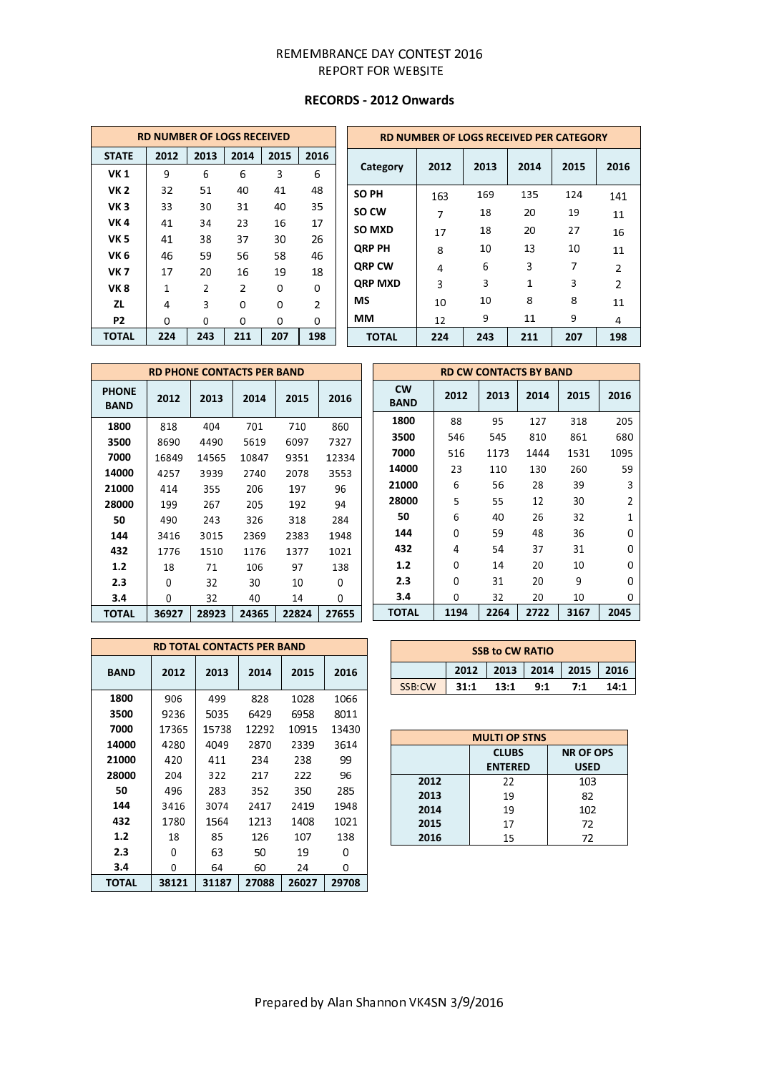# **RECORDS - 2012 Onwards**

|                 | <b>RD NUMBER OF LOGS RECEIVED</b> |                |                |      |                |  |           |  |
|-----------------|-----------------------------------|----------------|----------------|------|----------------|--|-----------|--|
| <b>STATE</b>    | 2012                              | 2013           | 2014           | 2015 | 2016           |  |           |  |
| <b>VK1</b>      | 9                                 | 6              | 6              | 3    | 6              |  | C         |  |
| <b>VK2</b>      | 32                                | 51             | 40             | 41   | 48             |  | <b>SC</b> |  |
| VK <sub>3</sub> | 33                                | 30             | 31             | 40   | 35             |  | SC        |  |
| <b>VK4</b>      | 41                                | 34             | 23             | 16   | 17             |  | SC        |  |
| VK <sub>5</sub> | 41                                | 38             | 37             | 30   | 26             |  |           |  |
| VK <sub>6</sub> | 46                                | 59             | 56             | 58   | 46             |  | QI        |  |
| <b>VK7</b>      | 17                                | 20             | 16             | 19   | 18             |  | QI        |  |
| <b>VK8</b>      | $\mathbf{1}$                      | $\overline{2}$ | $\overline{2}$ | 0    | 0              |  | QI        |  |
| ΖL              | 4                                 | 3              | 0              | 0    | $\overline{2}$ |  | M         |  |
| P2              | 0                                 | 0              | 0              | 0    | 0              |  | М         |  |
| <b>TOTAL</b>    | 224                               | 243            | 211            | 207  | 198            |  |           |  |

| RD NUMBER OF LOGS RECEIVED PER CATEGORY |      |      |      |      |                |  |  |  |  |
|-----------------------------------------|------|------|------|------|----------------|--|--|--|--|
| Category                                | 2012 | 2013 | 2014 | 2015 | 2016           |  |  |  |  |
| <b>SO PH</b>                            | 163  | 169  | 135  | 124  | 141            |  |  |  |  |
| SO CW                                   | 7    | 18   | 20   | 19   | 11             |  |  |  |  |
| SO MXD                                  | 17   | 18   | 20   | 27   | 16             |  |  |  |  |
| <b>QRP PH</b>                           | 8    | 10   | 13   | 10   | 11             |  |  |  |  |
| <b>QRP CW</b>                           | 4    | 6    | 3    | 7    | $\overline{2}$ |  |  |  |  |
| <b>QRP MXD</b>                          | 3    | 3    | 1    | 3    | $\mathfrak{p}$ |  |  |  |  |
| MS                                      | 10   | 10   | 8    | 8    | 11             |  |  |  |  |
| MМ                                      | 12   | 9    | 11   | 9    | 4              |  |  |  |  |
| <b>TOTAL</b>                            | 224  | 243  | 211  | 207  | 198            |  |  |  |  |

|                             |       |       | <b>RD PHONE CONTACTS PER BAND</b> |       |       |   |
|-----------------------------|-------|-------|-----------------------------------|-------|-------|---|
| <b>PHONE</b><br><b>BAND</b> | 2012  | 2013  | 2014                              | 2015  | 2016  | E |
| 1800                        | 818   | 404   | 701                               | 710   | 860   |   |
| 3500                        | 8690  | 4490  | 5619                              | 6097  | 7327  |   |
| 7000                        | 16849 | 14565 | 10847                             | 9351  | 12334 |   |
| 14000                       | 4257  | 3939  | 2740                              | 2078  | 3553  | 1 |
| 21000                       | 414   | 355   | 206                               | 197   | 96    | 2 |
| 28000                       | 199   | 267   | 205                               | 192   | 94    | 2 |
| 50                          | 490   | 243   | 326                               | 318   | 284   |   |
| 144                         | 3416  | 3015  | 2369                              | 2383  | 1948  |   |
| 432                         | 1776  | 1510  | 1176                              | 1377  | 1021  |   |
| 1.2                         | 18    | 71    | 106                               | 97    | 138   |   |
| 2.3                         | O     | 32    | 30                                | 10    | 0     |   |
| 3.4                         | 0     | 32    | 40                                | 14    | 0     |   |
| <b>TOTAL</b>                | 36927 | 28923 | 24365                             | 22824 | 27655 | т |

|    | <b>RD CW CONTACTS BY BAND</b> |      |      |      |      |                |  |  |  |  |  |
|----|-------------------------------|------|------|------|------|----------------|--|--|--|--|--|
| ŝ. | <b>CW</b><br><b>BAND</b>      | 2012 | 2013 | 2014 | 2015 | 2016           |  |  |  |  |  |
|    | 1800                          | 88   | 95   | 127  | 318  | 205            |  |  |  |  |  |
|    | 3500                          | 546  | 545  | 810  | 861  | 680            |  |  |  |  |  |
| 4  | 7000                          | 516  | 1173 | 1444 | 1531 | 1095           |  |  |  |  |  |
|    | 14000                         | 23   | 110  | 130  | 260  | 59             |  |  |  |  |  |
|    | 21000                         | 6    | 56   | 28   | 39   | 3              |  |  |  |  |  |
|    | 28000                         | 5    | 55   | 12   | 30   | $\overline{2}$ |  |  |  |  |  |
|    | 50                            | 6    | 40   | 26   | 32   | $\mathbf{1}$   |  |  |  |  |  |
|    | 144                           | 0    | 59   | 48   | 36   | 0              |  |  |  |  |  |
|    | 432                           | 4    | 54   | 37   | 31   | 0              |  |  |  |  |  |
|    | 1.2                           | 0    | 14   | 20   | 10   | 0              |  |  |  |  |  |
|    | 2.3                           | 0    | 31   | 20   | 9    | 0              |  |  |  |  |  |
|    | 3.4                           | 0    | 32   | 20   | 10   | 0              |  |  |  |  |  |
| 5  | <b>TOTAL</b>                  | 1194 | 2264 | 2722 | 3167 | 2045           |  |  |  |  |  |

|             |       | <b>RD TOTAL CONTACTS PER BAND</b> |       |       |       |
|-------------|-------|-----------------------------------|-------|-------|-------|
| <b>BAND</b> | 2012  | 2013                              | 2014  | 2015  | 2016  |
| 1800        | 906   | 499                               | 828   | 1028  | 1066  |
| 3500        | 9236  | 5035                              | 6429  | 6958  | 8011  |
| 7000        | 17365 | 15738                             | 12292 | 10915 | 13430 |
| 14000       | 4280  | 4049                              | 2870  | 2339  | 3614  |
| 21000       | 420   | 411                               | 234   | 238   | 99    |
| 28000       | 204   | 322                               | 217   | 222   | 96    |
| 50          | 496   | 283                               | 352   | 350   | 285   |
| 144         | 3416  | 3074                              | 2417  | 2419  | 1948  |
| 432         | 1780  | 1564                              | 1213  | 1408  | 1021  |
| 1.2         | 18    | 85                                | 126   | 107   | 138   |
| 2.3         | 0     | 63                                | 50    | 19    | o     |
| 3.4         | 0     | 64                                | 60    | 24    | 0     |
| TOTAL       | 38121 | 31187                             | 27088 | 26027 | 29708 |

|        |      | <b>SSB to CW RATIO</b> |     |                                  |      |
|--------|------|------------------------|-----|----------------------------------|------|
|        |      |                        |     | 2012   2013   2014   2015   2016 |      |
| SSB.CW | 31:1 | 13:1                   | 9:1 | 7:1                              | 14:1 |

| υ |      | <b>MULTI OP STNS</b>           |                                 |
|---|------|--------------------------------|---------------------------------|
|   |      | <b>CLUBS</b><br><b>ENTERED</b> | <b>NR OF OPS</b><br><b>USED</b> |
|   | 2012 | 22                             | 103                             |
|   | 2013 | 19                             | 82                              |
|   | 2014 | 19                             | 102                             |
|   | 2015 | 17                             | 72                              |
|   | 2016 | 15                             | 72                              |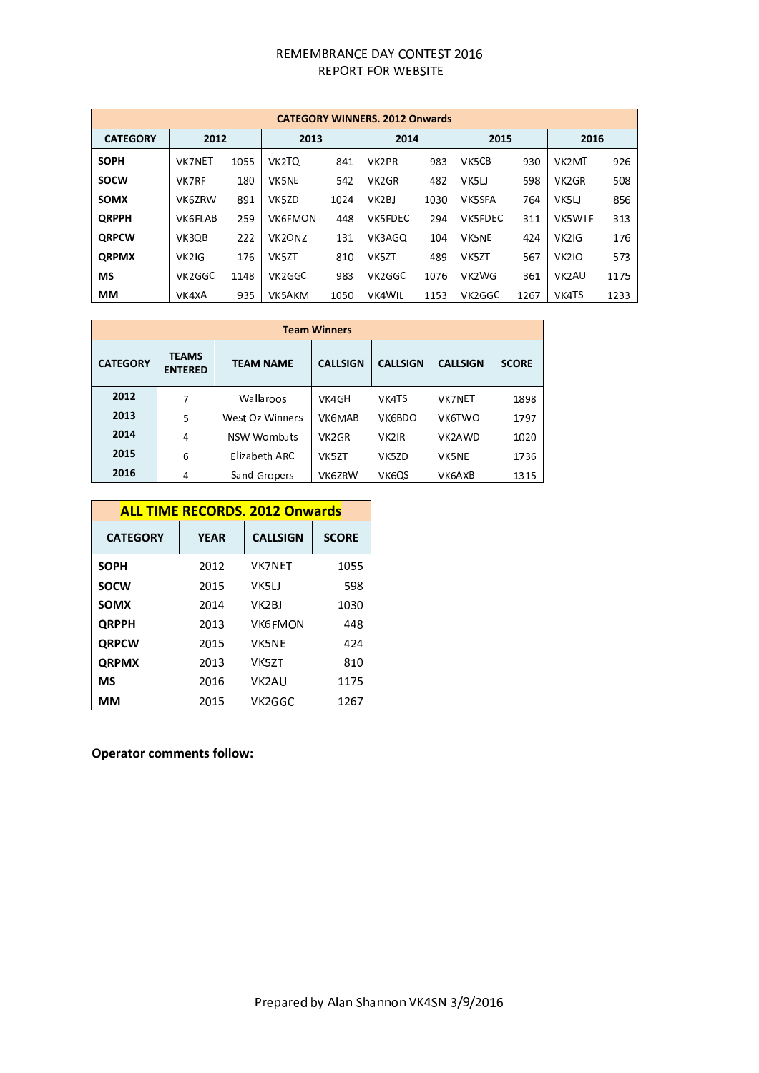|                 |                    |      |                                 |      | <b>CATEGORY WINNERS, 2012 Onwards</b> |      |               |      |                    |      |
|-----------------|--------------------|------|---------------------------------|------|---------------------------------------|------|---------------|------|--------------------|------|
| <b>CATEGORY</b> | 2012               |      | 2013                            |      | 2014                                  |      | 2015          |      | 2016               |      |
| <b>SOPH</b>     | <b>VK7NET</b>      | 1055 | VK2TQ                           | 841  | VK <sub>2</sub> PR                    | 983  | VK5CB         | 930  | VK <sub>2</sub> MT | 926  |
| <b>SOCW</b>     | <b>VK7RF</b>       | 180  | <b>VK5NE</b>                    | 542  | VK <sub>2</sub> GR                    | 482  | VK5LJ         | 598  | VK <sub>2</sub> GR | 508  |
| <b>SOMX</b>     | VK6ZRW             | 891  | VK5ZD                           | 1024 | VK <sub>2</sub> BJ                    | 1030 | <b>VK5SFA</b> | 764  | VK5LJ              | 856  |
| <b>ORPPH</b>    | <b>VK6FLAB</b>     | 259  | <b>VK6FMON</b>                  | 448  | VK5FDEC                               | 294  | VK5FDEC       | 311  | <b>VK5WTF</b>      | 313  |
| <b>ORPCW</b>    | VK3QB              | 222  | VK <sub>2</sub> ON <sub>Z</sub> | 131  | VK3AGO                                | 104  | <b>VK5NE</b>  | 424  | VK <sub>2</sub> IG | 176  |
| <b>ORPMX</b>    | VK <sub>2</sub> IG | 176  | VK5ZT                           | 810  | VK5ZT                                 | 489  | VK5ZT         | 567  | <b>VK2IO</b>       | 573  |
| MS              | VK2GGC             | 1148 | VK2GGC                          | 983  | VK2GGC                                | 1076 | VK2WG         | 361  | VK <sub>2</sub> AU | 1175 |
| MМ              | VK4XA              | 935  | VK5AKM                          | 1050 | VK4WIL                                | 1153 | VK2GGC        | 1267 | VK4TS              | 1233 |

|                 |                                |                  | <b>Team Winners</b> |                    |                 |              |
|-----------------|--------------------------------|------------------|---------------------|--------------------|-----------------|--------------|
| <b>CATEGORY</b> | <b>TEAMS</b><br><b>ENTERED</b> | <b>TEAM NAME</b> | <b>CALLSIGN</b>     | <b>CALLSIGN</b>    | <b>CALLSIGN</b> | <b>SCORE</b> |
| 2012            | 7                              | Wallaroos        | VK4GH               | VK4TS              | <b>VK7NET</b>   | 1898         |
| 2013            | 5                              | West Oz Winners  | <b>VK6MAB</b>       | VK6BDO             | <b>VK6TWO</b>   | 1797         |
| 2014            | 4                              | NSW Wombats      | VK <sub>2</sub> GR  | VK <sub>2</sub> IR | VK2AWD          | 1020         |
| 2015            | 6                              | Elizabeth ARC    | VK5ZT               | VK5ZD              | <b>VK5NE</b>    | 1736         |
| 2016            | 4                              | Sand Gropers     | VK6ZRW              | VK6QS              | VK6AXB          | 1315         |

| <b>ALL TIME RECORDS. 2012 Onwards</b> |             |                 |              |  |  |  |  |
|---------------------------------------|-------------|-----------------|--------------|--|--|--|--|
| <b>CATEGORY</b>                       | <b>YEAR</b> | <b>CALLSIGN</b> | <b>SCORE</b> |  |  |  |  |
| <b>SOPH</b>                           | 2012        | <b>VK7NET</b>   | 1055         |  |  |  |  |
| <b>SOCW</b>                           | 2015        | VK5LI           | 598          |  |  |  |  |
| <b>SOMX</b>                           | 2014        | VK2BJ           | 1030         |  |  |  |  |
| <b>QRPPH</b>                          | 2013        | <b>VK6FMON</b>  | 448          |  |  |  |  |
| <b>QRPCW</b>                          | 2015        | <b>VK5NF</b>    | 424          |  |  |  |  |
| <b>QRPMX</b>                          | 2013        | VK5ZT           | 810          |  |  |  |  |
| <b>MS</b>                             | 2016        | VK2AU           | 1175         |  |  |  |  |
| ΜМ                                    | 2015        | VK2GGC          | 1267         |  |  |  |  |

# **Operator comments follow:**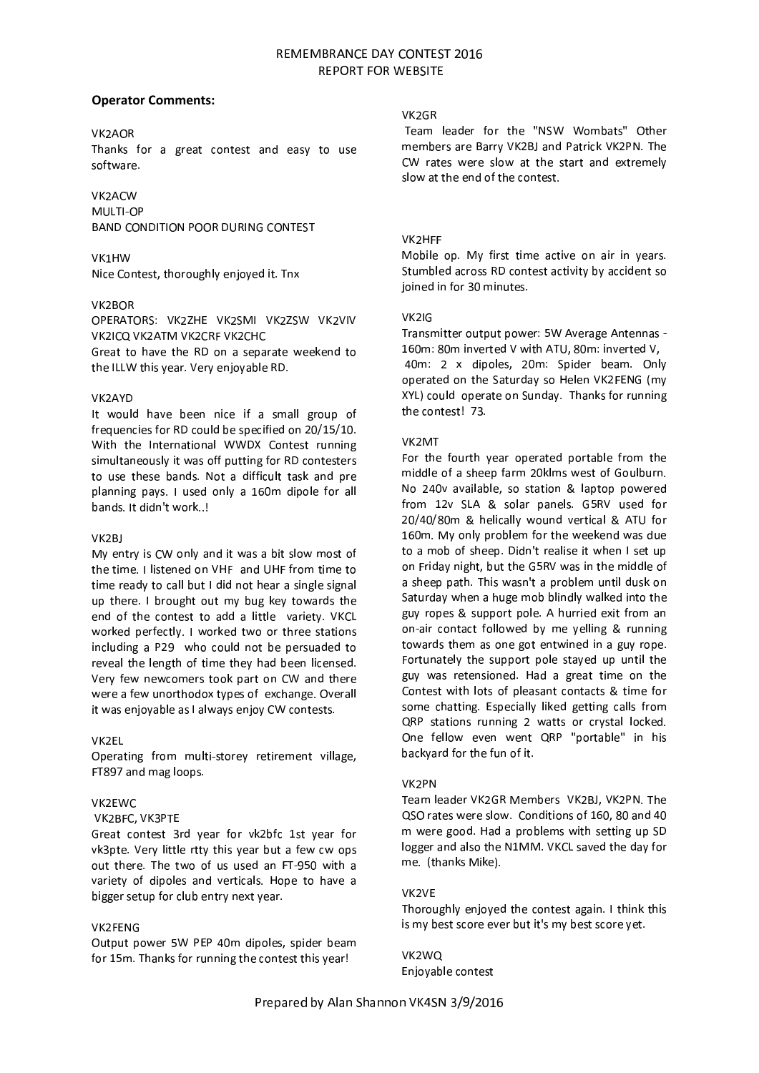# **Operator Comments:**

# VK2AOR

Thanks for a great contest and easy to use software.

# VK2ACW

MULTI-OP **BAND CONDITION POOR DURING CONTEST** 

# VK1HW

Nice Contest, thoroughly enjoyed it. Tnx

## VK2BOR

OPERATORS: VK2ZHE VK2SMI VK2ZSW VK2VIV VK2ICQ VK2ATM VK2CRF VK2CHC Great to have the RD on a separate weekend to the ILLW this year. Very enjoyable RD.

## **VK2AYD**

It would have been nice if a small group of frequencies for RD could be specified on 20/15/10. With the International WWDX Contest running simultaneously it was off putting for RD contesters to use these bands. Not a difficult task and pre planning pays. I used only a 160m dipole for all bands. It didn't work..!

#### VK<sub>2</sub>RI

My entry is CW only and it was a bit slow most of the time. I listened on VHF and UHF from time to time ready to call but I did not hear a single signal up there. I brought out my bug key towards the end of the contest to add a little variety. VKCL worked perfectly. I worked two or three stations including a P29 who could not be persuaded to reveal the length of time they had been licensed. Very few newcomers took part on CW and there were a few unorthodox types of exchange. Overall it was enjoyable as I always enjoy CW contests.

# VK2EL

Operating from multi-storey retirement village, FT897 and mag loops.

# VK2EWC

## VK2BFC, VK3PTE

Great contest 3rd year for vk2bfc 1st year for vk3pte. Very little rtty this year but a few cw ops out there. The two of us used an FT-950 with a variety of dipoles and verticals. Hope to have a bigger setup for club entry next year.

#### **VK2FFNG**

Output power 5W PEP 40m dipoles, spider beam for 15m. Thanks for running the contest this year!

## VK<sub>2GR</sub>

Team leader for the "NSW Wombats" Other members are Barry VK2BJ and Patrick VK2PN. The CW rates were slow at the start and extremely slow at the end of the contest

# VK2HFF

Mobile op. My first time active on air in years. Stumbled across RD contest activity by accident so joined in for 30 minutes.

## $VK2|G$

Transmitter output power: 5W Average Antennas -160m: 80m inverted V with ATU, 80m: inverted V,

40m: 2 x dipoles, 20m: Spider beam. Only operated on the Saturday so Helen VK2FENG (my XYL) could operate on Sunday. Thanks for running the contest! 73.

## VK<sub>2</sub>MT

For the fourth year operated portable from the middle of a sheep farm 20klms west of Goulburn. No 240v available, so station & laptop powered from 12v SLA & solar panels. G5RV used for 20/40/80m & helically wound vertical & ATU for 160m. My only problem for the weekend was due to a mob of sheep. Didn't realise it when I set up on Friday night, but the G5RV was in the middle of a sheep path. This wasn't a problem until dusk on Saturday when a huge mob blindly walked into the guy ropes & support pole. A hurried exit from an on-air contact followed by me yelling & running towards them as one got entwined in a guy rope. Fortunately the support pole stayed up until the guy was retensioned. Had a great time on the Contest with lots of pleasant contacts & time for some chatting. Especially liked getting calls from QRP stations running 2 watts or crystal locked. One fellow even went QRP "portable" in his backyard for the fun of it.

# VK<sub>2</sub>PN

Team leader VK2GR Members VK2BJ, VK2PN. The QSO rates were slow. Conditions of 160, 80 and 40 m were good. Had a problems with setting up SD logger and also the N1MM. VKCL saved the day for me. (thanks Mike).

#### VK<sub>2VF</sub>

Thoroughly enjoyed the contest again. I think this is my best score ever but it's my best score yet.

VK2WQ Enjoyable contest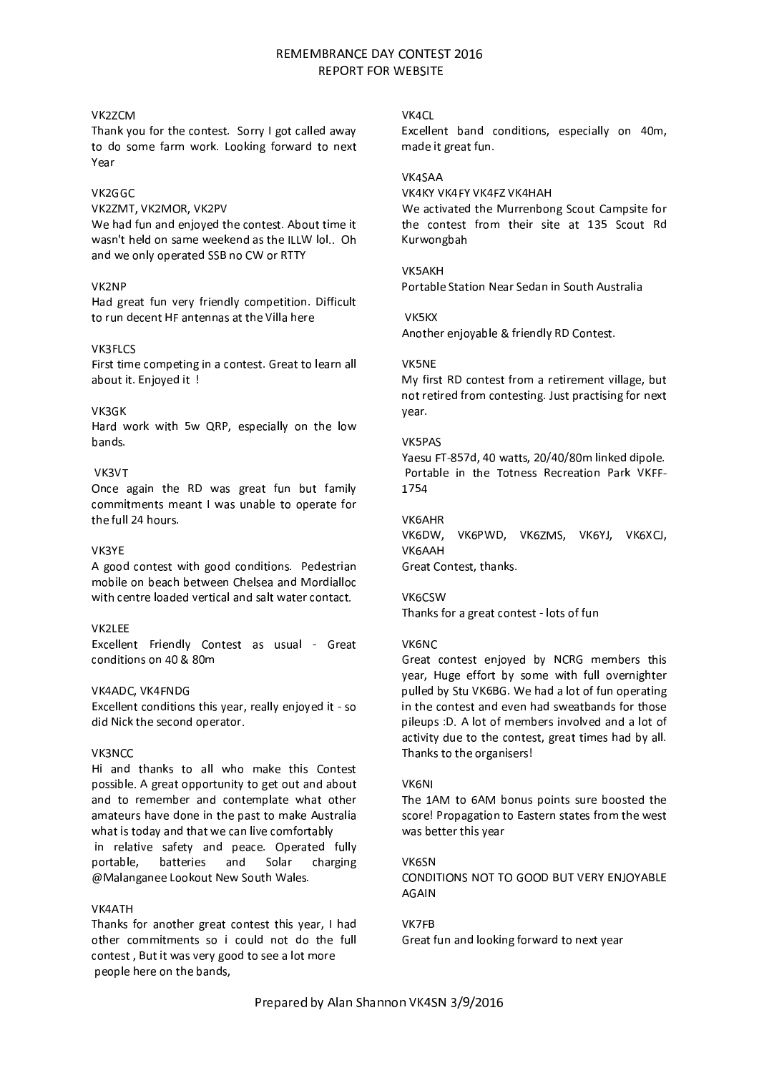# VK<sub>27</sub>CM

Thank you for the contest. Sorry I got called away to do some farm work. Looking forward to next Year

# VK2GGC

VK2ZMT, VK2MOR, VK2PV

We had fun and enjoved the contest. About time it wasn't held on same weekend as the ILLW lol.. Oh and we only operated SSB no CW or RTTY

## VK2NP

Had great fun very friendly competition. Difficult to run decent HF antennas at the Villa here

## VK3FLCS

First time competing in a contest. Great to learn all about it. Enjoyed it !

## VK3GK

Hard work with 5w QRP, especially on the low bands.

# VK3VT

Once again the RD was great fun but family commitments meant I was unable to operate for the full 24 hours.

# VK3YE

A good contest with good conditions. Pedestrian mobile on beach between Chelsea and Mordialloc with centre loaded vertical and salt water contact.

# VK2LEE

Excellent Friendly Contest as usual - Great conditions on 40 & 80m

## VK4ADC, VK4FNDG

Excellent conditions this year, really enjoyed it - so did Nick the second operator.

#### VK3NCC

Hi and thanks to all who make this Contest possible. A great opportunity to get out and about and to remember and contemplate what other amateurs have done in the past to make Australia what is today and that we can live comfortably in relative safety and peace. Operated fully portable. batteries and Solar charging @Malanganee Lookout New South Wales.

#### **VK4ATH**

Thanks for another great contest this year, I had other commitments so i could not do the full contest. But it was very good to see a lot more people here on the bands,

#### VK4CI

Excellent band conditions, especially on 40m, made it great fun.

#### VK4SAA

VK4KY VK4FY VK4F7 VK4HAH We activated the Murrenbong Scout Campsite for the contest from their site at 135 Scout Rd Kurwongbah

#### VK5AKH

Portable Station Near Sedan in South Australia

VK5KX

Another enjoyable & friendly RD Contest.

## VK5NE

My first RD contest from a retirement village, but not retired from contesting. Just practising for next year.

#### VK5PAS

Yaesu FT-857d, 40 watts, 20/40/80m linked dipole. Portable in the Totness Recreation Park VKFF-1754

#### **VK6AHR**

VK6DW, VK6PWD, VK6ZMS, VK6YJ, VK6XCJ, **VK6AAH** Great Contest, thanks.

# VK6CSW

Thanks for a great contest - lots of fun

#### VK6NC

Great contest enjoyed by NCRG members this year, Huge effort by some with full overnighter pulled by Stu VK6BG. We had a lot of fun operating in the contest and even had sweatbands for those pileups : D, A lot of members involved and a lot of activity due to the contest, great times had by all. Thanks to the organisers!

#### **VK6NI**

The 1AM to 6AM bonus points sure boosted the score! Propagation to Eastern states from the west was better this year

**VK6SN** CONDITIONS NOT TO GOOD BUT VERY ENJOYABLE **AGAIN** 

## VK7FR

Great fun and looking forward to next year